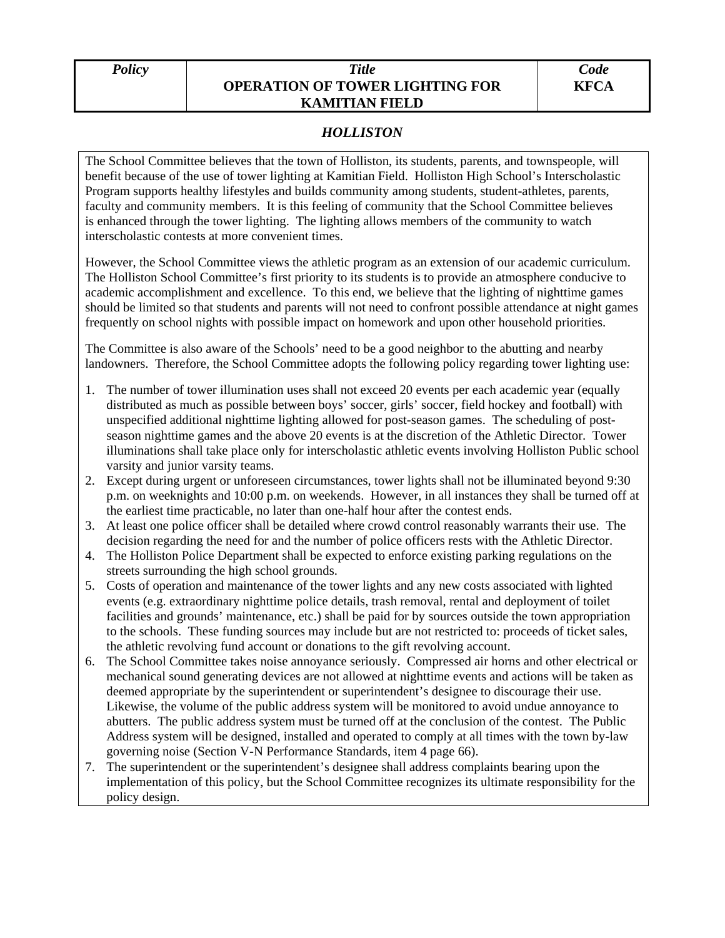## *Policy Title*  **OPERATION OF TOWER LIGHTING FOR KAMITIAN FIELD**

## *HOLLISTON*

The School Committee believes that the town of Holliston, its students, parents, and townspeople, will benefit because of the use of tower lighting at Kamitian Field. Holliston High School's Interscholastic Program supports healthy lifestyles and builds community among students, student-athletes, parents, faculty and community members. It is this feeling of community that the School Committee believes is enhanced through the tower lighting. The lighting allows members of the community to watch interscholastic contests at more convenient times.

However, the School Committee views the athletic program as an extension of our academic curriculum. The Holliston School Committee's first priority to its students is to provide an atmosphere conducive to academic accomplishment and excellence. To this end, we believe that the lighting of nighttime games should be limited so that students and parents will not need to confront possible attendance at night games frequently on school nights with possible impact on homework and upon other household priorities.

The Committee is also aware of the Schools' need to be a good neighbor to the abutting and nearby landowners. Therefore, the School Committee adopts the following policy regarding tower lighting use:

- 1. The number of tower illumination uses shall not exceed 20 events per each academic year (equally distributed as much as possible between boys' soccer, girls' soccer, field hockey and football) with unspecified additional nighttime lighting allowed for post-season games. The scheduling of postseason nighttime games and the above 20 events is at the discretion of the Athletic Director. Tower illuminations shall take place only for interscholastic athletic events involving Holliston Public school varsity and junior varsity teams.
- 2. Except during urgent or unforeseen circumstances, tower lights shall not be illuminated beyond 9:30 p.m. on weeknights and 10:00 p.m. on weekends. However, in all instances they shall be turned off at the earliest time practicable, no later than one-half hour after the contest ends.
- 3. At least one police officer shall be detailed where crowd control reasonably warrants their use. The decision regarding the need for and the number of police officers rests with the Athletic Director.
- 4. The Holliston Police Department shall be expected to enforce existing parking regulations on the streets surrounding the high school grounds.
- 5. Costs of operation and maintenance of the tower lights and any new costs associated with lighted events (e.g. extraordinary nighttime police details, trash removal, rental and deployment of toilet facilities and grounds' maintenance, etc.) shall be paid for by sources outside the town appropriation to the schools. These funding sources may include but are not restricted to: proceeds of ticket sales, the athletic revolving fund account or donations to the gift revolving account.
- 6. The School Committee takes noise annoyance seriously. Compressed air horns and other electrical or mechanical sound generating devices are not allowed at nighttime events and actions will be taken as deemed appropriate by the superintendent or superintendent's designee to discourage their use. Likewise, the volume of the public address system will be monitored to avoid undue annoyance to abutters. The public address system must be turned off at the conclusion of the contest. The Public Address system will be designed, installed and operated to comply at all times with the town by-law governing noise (Section V-N Performance Standards, item 4 page 66).
- 7. The superintendent or the superintendent's designee shall address complaints bearing upon the implementation of this policy, but the School Committee recognizes its ultimate responsibility for the policy design.